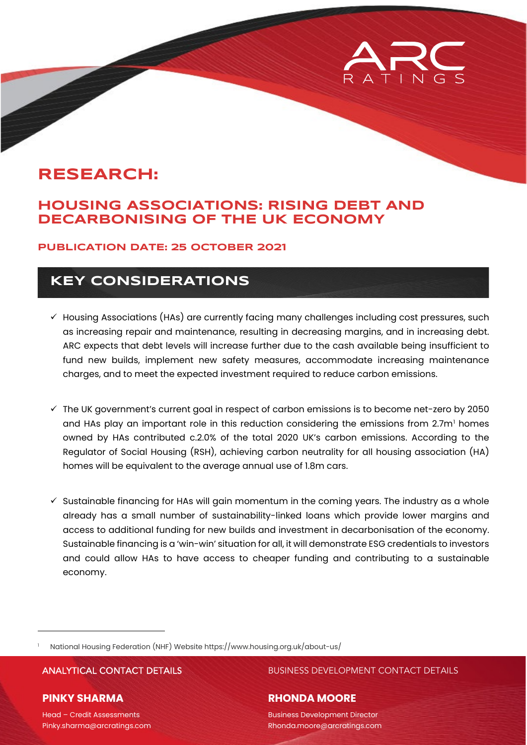# **RESEARCH:**

### **HOUSING ASSOCIATIONS: RISING DEBT AND DECARBONISING OF THE UK ECONOMY**

#### **PUBLICATION DATE: 25 OCTOBER 2021**

## **KEY CONSIDERATIONS**

- $\checkmark$  Housing Associations (HAs) are currently facing many challenges including cost pressures, such as increasing repair and maintenance, resulting in decreasing margins, and in increasing debt. ARC expects that debt levels will increase further due to the cash available being insufficient to fund new builds, implement new safety measures, accommodate increasing maintenance charges, and to meet the expected investment required to reduce carbon emissions.
- $\checkmark$  The UK government's current goal in respect of carbon emissions is to become net-zero by 2050 and HAs play an important role in this reduction considering the emissions from 2.7m<sup>[1](#page-0-0)</sup> homes owned by HAs contributed c.2.0% of the total 2020 UK's carbon emissions. According to the Regulator of Social Housing (RSH), achieving carbon neutrality for all housing association (HA) homes will be equivalent to the average annual use of 1.8m cars.
- $\checkmark$  Sustainable financing for HAs will gain momentum in the coming years. The industry as a whole already has a small number of sustainability-linked loans which provide lower margins and access to additional funding for new builds and investment in decarbonisation of the economy. Sustainable financing is a 'win-win' situation for all, it will demonstrate ESG credentials to investors and could allow HAs to have access to cheaper funding and contributing to a sustainable economy.

<span id="page-0-0"></span><sup>1</sup> National Housing Federation (NHF) Website<https://www.housing.org.uk/about-us/>

#### **PINKY SHARMA**

ANALYTICAL CONTACT DETAILS BUSINESS DEVELOPMENT CONTACT DETAILS

#### **RHONDA MOORE**

Business Development Director Rhonda.moore@arcratings.com

Head – Credit Assessments Pinky.sharma@arcratings.com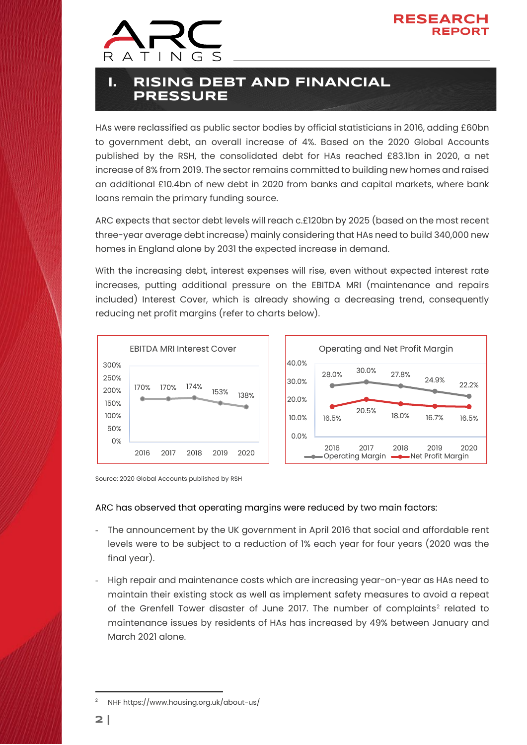



## **I. RISING DEBT AND FINANCIAL PRESSURE**

HAs were reclassified as public sector bodies by official statisticians in 2016, adding £60bn to government debt, an overall increase of 4%. Based on the 2020 Global Accounts published by the RSH, the consolidated debt for HAs reached £83.1bn in 2020, a net increase of 8% from 2019. The sector remains committed to building new homes and raised an additional £10.4bn of new debt in 2020 from banks and capital markets, where bank loans remain the primary funding source.

ARC expects that sector debt levels will reach c.£120bn by 2025 (based on the most recent three-year average debt increase) mainly considering that HAs need to build 340,000 new homes in England alone by 2031 the expected increase in demand.

With the increasing debt, interest expenses will rise, even without expected interest rate increases, putting additional pressure on the EBITDA MRI (maintenance and repairs included) Interest Cover, which is already showing a decreasing trend, consequently reducing net profit margins (refer to charts below).



Source: 2020 Global Accounts published by RSH

#### ARC has observed that operating margins were reduced by two main factors:

- The announcement by the UK government in April 2016 that social and affordable rent levels were to be subject to a reduction of 1% each year for four years (2020 was the final year).
- High repair and maintenance costs which are increasing year-on-year as HAs need to maintain their existing stock as well as implement safety measures to avoid a repeat of the Grenfell Tower disaster of June [2](#page-1-0)017. The number of complaints<sup>2</sup> related to maintenance issues by residents of HAs has increased by 49% between January and March 2021 alone.

<span id="page-1-0"></span>NH[F https://www.housing.org.uk/about-us/](https://www.housing.org.uk/about-us/)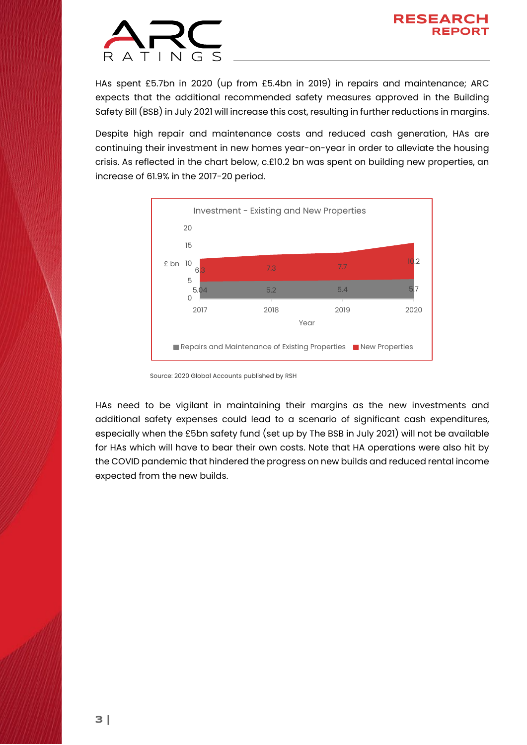

HAs spent £5.7bn in 2020 (up from £5.4bn in 2019) in repairs and maintenance; ARC expects that the additional recommended safety measures approved in the Building Safety Bill (BSB) in July 2021 will increase this cost, resulting in further reductions in margins.

Despite high repair and maintenance costs and reduced cash generation, HAs are continuing their investment in new homes year-on-year in order to alleviate the housing crisis. As reflected in the chart below, c.£10.2 bn was spent on building new properties, an increase of 61.9% in the 2017-20 period.



Source: 2020 Global Accounts published by RSH

HAs need to be vigilant in maintaining their margins as the new investments and additional safety expenses could lead to a scenario of significant cash expenditures, especially when the £5bn safety fund (set up by The BSB in July 2021) will not be available for HAs which will have to bear their own costs. Note that HA operations were also hit by the COVID pandemic that hindered the progress on new builds and reduced rental income expected from the new builds.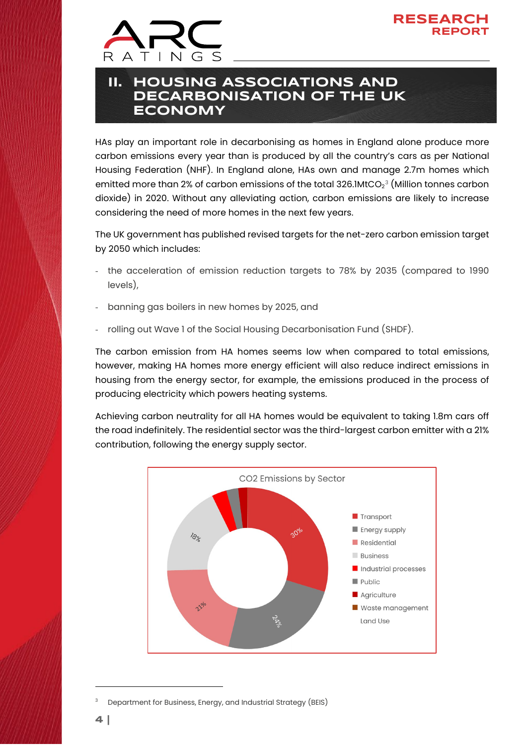



## **II. HOUSING ASSOCIATIONS AND DECARBONISATION OF THE UK ECONOMY**

HAs play an important role in decarbonising as homes in England alone produce more carbon emissions every year than is produced by all the country's cars as per National Housing Federation (NHF). In England alone, HAs own and manage 2.7m homes which emitted more than 2% of carbon emissions of the total [3](#page-3-0)26.1MtCO $_2^\mathrm{3}$  (Million tonnes carbon dioxide) in 2020. Without any alleviating action, carbon emissions are likely to increase considering the need of more homes in the next few years.

The UK government has published revised targets for the net-zero carbon emission target by 2050 which includes:

- the acceleration of emission reduction targets to 78% by 2035 (compared to 1990 levels),
- banning gas boilers in new homes by 2025, and
- rolling out Wave 1 of the Social Housing Decarbonisation Fund (SHDF).

The carbon emission from HA homes seems low when compared to total emissions, however, making HA homes more energy efficient will also reduce indirect emissions in housing from the energy sector, for example, the emissions produced in the process of producing electricity which powers heating systems.

Achieving carbon neutrality for all HA homes would be equivalent to taking 1.8m cars off the road indefinitely. The residential sector was the third-largest carbon emitter with a 21% contribution, following the energy supply sector.



<span id="page-3-0"></span><sup>3</sup> Department for Business, Energy, and Industrial Strategy (BEIS)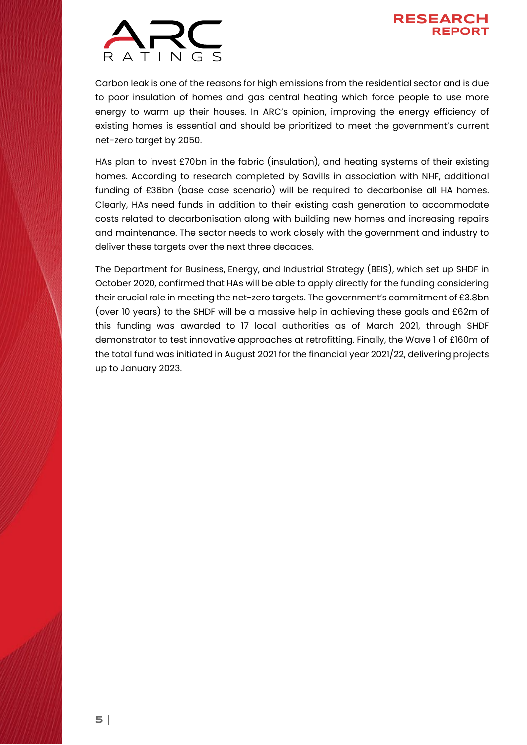

Carbon leak is one of the reasons for high emissions from the residential sector and is due to poor insulation of homes and gas central heating which force people to use more energy to warm up their houses. In ARC's opinion, improving the energy efficiency of existing homes is essential and should be prioritized to meet the government's current net-zero target by 2050.

HAs plan to invest £70bn in the fabric (insulation), and heating systems of their existing homes. According to research completed by Savills in association with NHF, additional funding of £36bn (base case scenario) will be required to decarbonise all HA homes. Clearly, HAs need funds in addition to their existing cash generation to accommodate costs related to decarbonisation along with building new homes and increasing repairs and maintenance. The sector needs to work closely with the government and industry to deliver these targets over the next three decades.

The Department for Business, Energy, and Industrial Strategy (BEIS), which set up SHDF in October 2020, confirmed that HAs will be able to apply directly for the funding considering their crucial role in meeting the net-zero targets. The government's commitment of £3.8bn (over 10 years) to the SHDF will be a massive help in achieving these goals and £62m of this funding was awarded to 17 local authorities as of March 2021, through SHDF demonstrator to test innovative approaches at retrofitting. Finally, the Wave 1 of £160m of the total fund was initiated in August 2021 for the financial year 2021/22, delivering projects up to January 2023.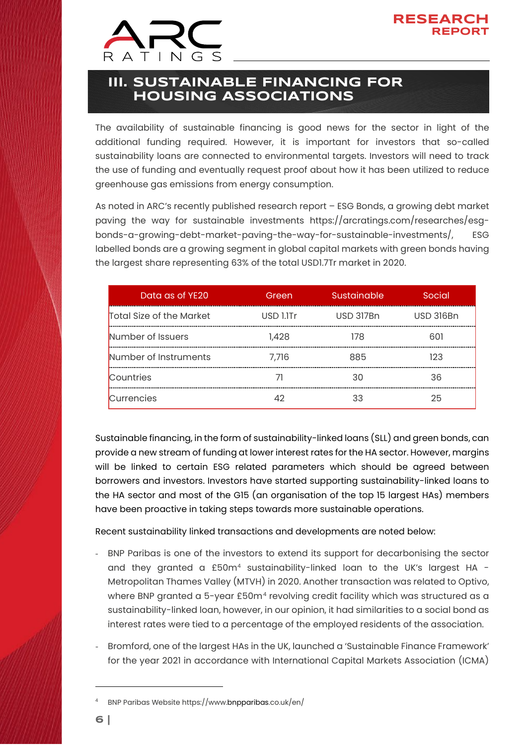

## **III. SUSTAINABLE FINANCING FOR HOUSING ASSOCIATIONS**

The availability of sustainable financing is good news for the sector in light of the additional funding required. However, it is important for investors that so-called sustainability loans are connected to environmental targets. Investors will need to track the use of funding and eventually request proof about how it has been utilized to reduce greenhouse gas emissions from energy consumption.

As noted in ARC's recently published research report – ESG Bonds, a growing debt market paving the way for sustainable investments [https://arcratings.com/researches/esg](https://arcratings.com/researches/esg-bonds-a-growing-debt-market-paving-the-way-for-sustainable-investments/)[bonds-a-growing-debt-market-paving-the-way-for-sustainable-investments/,](https://arcratings.com/researches/esg-bonds-a-growing-debt-market-paving-the-way-for-sustainable-investments/) ESG labelled bonds are a growing segment in global capital markets with green bonds having the largest share representing 63% of the total USD1.7Tr market in 2020.

| Data as of YE20          | Green     | Sustainable | Social           |
|--------------------------|-----------|-------------|------------------|
| Total Size of the Market | USD 1.1Tr | USD 317Bn   | <b>USD 316Bn</b> |
| Number of Issuers        | 1,428     | 178         | 601              |
| Number of Instruments    | 7.716     | 885         | 123              |
| Countries                |           | 30          | 36               |
| Currencies               |           |             | 25               |

Sustainable financing, in the form of sustainability-linked loans (SLL) and green bonds, can provide a new stream of funding at lower interest rates for the HA sector. However, margins will be linked to certain ESG related parameters which should be agreed between borrowers and investors. Investors have started supporting sustainability-linked loans to the HA sector and most of the G15 (an organisation of the top 15 largest HAs) members have been proactive in taking steps towards more sustainable operations.

Recent sustainability linked transactions and developments are noted below:

- BNP Paribas is one of the investors to extend its support for decarbonising the sector and they granted a £50m<sup>4</sup> sustainability-linked loan to the UK's largest HA -Metropolitan Thames Valley (MTVH) in 2020. Another transaction was related to Optivo, where BNP granted a 5-year £50m<sup>[4](#page-5-0)</sup> revolving credit facility which was structured as a sustainability-linked loan, however, in our opinion, it had similarities to a social bond as interest rates were tied to a percentage of the employed residents of the association.
- Bromford, one of the largest HAs in the UK, launched a 'Sustainable Finance Framework' for the year 2021 in accordance with International Capital Markets Association (ICMA)

<span id="page-5-0"></span><sup>4</sup> BNP Paribas Websit[e https://www.bnpparibas.co.uk/en/](https://www.bnpparibas.co.uk/en/)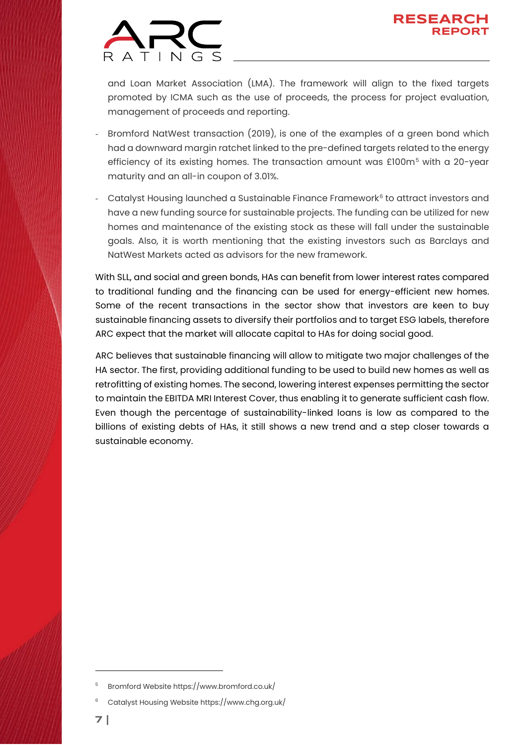

and Loan Market Association (LMA). The framework will align to the fixed targets promoted by ICMA such as the use of proceeds, the process for project evaluation, management of proceeds and reporting.

- Bromford NatWest transaction (2019), is one of the examples of a green bond which had a downward margin ratchet linked to the pre-defined targets related to the energy efficiency of its existing homes. The transaction amount was £100m<sup>[5](#page-6-0)</sup> with a 20-year maturity and an all-in coupon of 3.01%.
- Catalyst Housing launched a Sustainable Finance Framework<sup>[6](#page-6-1)</sup> to attract investors and have a new funding source for sustainable projects. The funding can be utilized for new homes and maintenance of the existing stock as these will fall under the sustainable goals. Also, it is worth mentioning that the existing investors such as Barclays and NatWest Markets acted as advisors for the new framework.

With SLL, and social and green bonds, HAs can benefit from lower interest rates compared to traditional funding and the financing can be used for energy-efficient new homes. Some of the recent transactions in the sector show that investors are keen to buy sustainable financing assets to diversify their portfolios and to target ESG labels, therefore ARC expect that the market will allocate capital to HAs for doing social good.

ARC believes that sustainable financing will allow to mitigate two major challenges of the HA sector. The first, providing additional funding to be used to build new homes as well as retrofitting of existing homes. The second, lowering interest expenses permitting the sector to maintain the EBITDA MRI Interest Cover, thus enabling it to generate sufficient cash flow. Even though the percentage of sustainability-linked loans is low as compared to the billions of existing debts of HAs, it still shows a new trend and a step closer towards a sustainable economy.

<span id="page-6-0"></span><sup>5</sup> Bromford Website<https://www.bromford.co.uk/>

<span id="page-6-1"></span><sup>6</sup> Catalyst Housing Websit[e https://www.chg.org.uk/](https://www.chg.org.uk/)